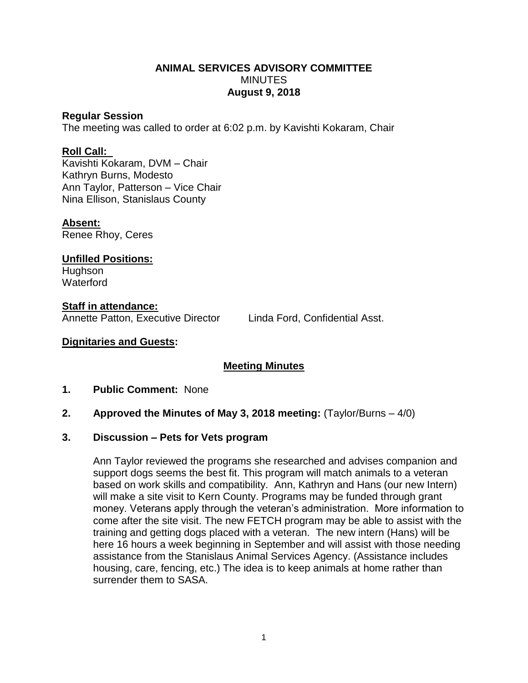# **ANIMAL SERVICES ADVISORY COMMITTEE MINUTES August 9, 2018**

## **Regular Session**

The meeting was called to order at 6:02 p.m. by Kavishti Kokaram, Chair

# **Roll Call:**

Kavishti Kokaram, DVM – Chair Kathryn Burns, Modesto Ann Taylor, Patterson – Vice Chair Nina Ellison, Stanislaus County

#### **Absent:**

Renee Rhoy, Ceres

**Unfilled Positions:** Hughson **Waterford** 

**Staff in attendance:** Annette Patton, Executive Director Linda Ford, Confidential Asst.

## **Dignitaries and Guests:**

# **Meeting Minutes**

## **1. Public Comment:** None

# **2. Approved the Minutes of May 3, 2018 meeting:** (Taylor/Burns – 4/0)

#### **3. Discussion – Pets for Vets program**

Ann Taylor reviewed the programs she researched and advises companion and support dogs seems the best fit. This program will match animals to a veteran based on work skills and compatibility. Ann, Kathryn and Hans (our new Intern) will make a site visit to Kern County. Programs may be funded through grant money. Veterans apply through the veteran's administration. More information to come after the site visit. The new FETCH program may be able to assist with the training and getting dogs placed with a veteran. The new intern (Hans) will be here 16 hours a week beginning in September and will assist with those needing assistance from the Stanislaus Animal Services Agency. (Assistance includes housing, care, fencing, etc.) The idea is to keep animals at home rather than surrender them to SASA.